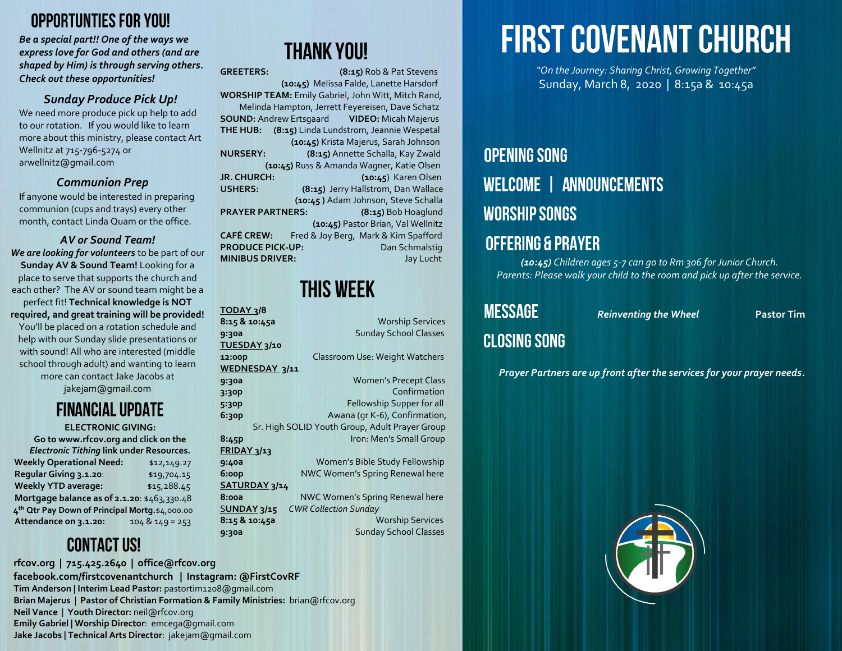#### **OPPORTUNTIES FOR YOU!**

*Be a special part!! One of the ways we express love for God and others (and are shaped by Him) is through serving others. Check out these opportunities!*

#### *Sunday Produce Pick Up!*

We need more produce pick up help to add to our rotation. If you would like to learn more about this ministry, please contact Art Wellnitz at 715-796-5274 or [arwellnitz@gmail.com](mailto:arwellnitz@gmail.com)

#### *Communion Prep*

If anyone would be interested in preparing communion (cups and trays) every other month, contact Linda Quam or the office.

#### *AV or Sound Team!*

*We are looking for volunteers* to be part of our **Sunday AV & Sound Team!** Looking for a place to serve that supports the church and each other? The AV or sound team might be a perfect fit! **Technical knowledge is NOT required, and great training will be provided!** You'll be placed on a rotation schedule and help with our Sunday slide presentations or with sound! All who are interested (middle school through adult) and wanting to learn more can contact Jake Jacobs at [jakejam@gmail.com](mailto:jakejam@gmail.com)

#### **FINANCIAL UPDATE**

#### **ELECTRONIC GIVING:**

**Go to www.rfcov.org and click on the**  *Electronic Tithing* **link under Resources.** Weekly Operational Need: \$12,149.27 **Regular Giving 3.1.20**: \$19,704.15 **Weekly YTD average:**  $$15,288.45$ **Mortgage balance as of 2.1.20**: \$463,330.48  **4 th Qtr Pay Down of Principal Mortg.**\$4,000.00 **Attendance on 3.1.20:** 104 & 149 = 253

### **CONTACT US!**

#### **rfcov.org | 715.425.2640 | office@rfcov.org facebook.com/firstcovenantchurch | Instagram: @FirstCovRF Tim Anderson | Interim Lead Pastor:** pastortim1208@gmail.com **Brian Majerus** | **Pastor of Christian Formation & Family Ministries:** brian@rfcov.org **Neil Vance** | **Youth Director:** neil@rfcov.org **Emily Gabriel | Worship Director**: emcega@gmail.com **Jake Jacobs | Technical Arts Director**: jakejam@gmail.com

### **THANK YOU!**

GREETERS: (8:15) Rob & Pat Stevens  **(10:45)** Melissa Falde, Lanette Harsdorf **WORSHIP TEAM:** Emily Gabriel, John Witt, Mitch Rand, Melinda Hampton, Jerrett Feyereisen, Dave Schatz **SOUND:** Andrew Ertsgaard **VIDEO:** Micah Majerus **THE HUB: (8:15)** Linda Lundstrom, Jeannie Wespetal **(10:45)** Krista Majerus, Sarah Johnson **NURSERY: (8:15)** Annette Schalla, Kay Zwald **(10:45)** Russ & Amanda Wagner, Katie Olsen **JR. CHURCH: (10:45**) Karen Olsen **USHERS: (8:15)** Jerry Hallstrom, Dan Wallace  **(10:45 )** Adam Johnson, Steve Schalla PRAYER PARTNERS: (8:15) Bob Hoaglund  **(10:45)** Pastor Brian, Val Wellnitz **CAFÉ CREW:** Fred & Joy Berg, Mark & Kim Spafford **PRODUCE PICK-UP:** Dan Schmalstig **MINIBUS DRIVER:** Jay Lucht

### **THIS WEEK**

| 8/3 TODAY          |  |                                                |
|--------------------|--|------------------------------------------------|
| 8:15 & 10:45a      |  | <b>Worship Services</b>                        |
| 9:30a              |  | <b>Sunday School Classes</b>                   |
| 2/10 TUESDAY       |  |                                                |
| 12:00p             |  | Classroom Use: Weight Watchers                 |
| WEDNESDAY 3/11     |  |                                                |
| 9:30a              |  | <b>Women's Precept Class</b>                   |
| 3:30P              |  | Confirmation                                   |
| 5:30P              |  | Fellowship Supper for all                      |
| 6:30p              |  | Awana (qr K-6), Confirmation,                  |
|                    |  | Sr. High SOLID Youth Group, Adult Prayer Group |
| 8:45p              |  | Iron: Men's Small Group                        |
| FRIDAY 3/13        |  |                                                |
| 9:40a              |  | Women's Bible Study Fellowship                 |
| 6:oop              |  | NWC Women's Spring Renewal here                |
| SATURDAY 3/14      |  |                                                |
| 8:00a              |  | NWC Women's Spring Renewal here                |
| <b>SUNDAY 3/15</b> |  | <b>CWR Collection Sunday</b>                   |
| 8:15 & 10:45a      |  | <b>Worship Services</b>                        |
| 9:30a              |  | <b>Sunday School Classes</b>                   |
|                    |  |                                                |

# **FIRST COVENANT CHURCH**

*"On the Journey: Sharing Christ, Growing Together"* Sunday, March 8, 2020 | 8:15a & 10:45a

### **OPENING SONG WELCOME | ANNOUNCEMENTS WORSHIP SONGS OFFERING & PRAYER**

*(10:45) Children ages 5-7 can go to Rm 306 for Junior Church. Parents: Please walk your child to the room and pick up after the service.*

## **MESSAGE**

**Reinventing the Wheel Pastor Tim** 

#### **CLOSING SONG**

*Prayer Partners are up front after the services for your prayer needs.*

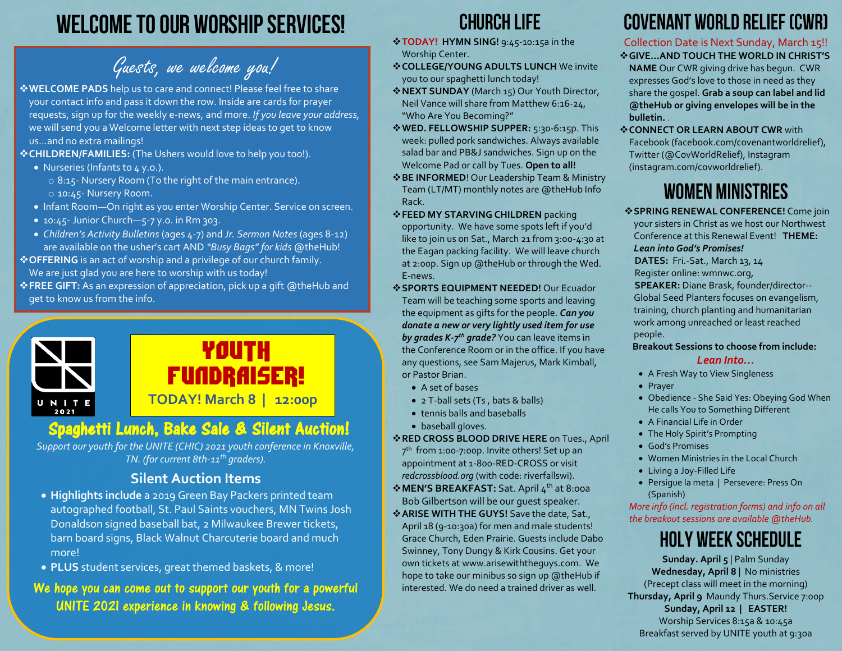### **WELCOME TO OUR WORSHIP SERVICES!**

Guests, we welcome you!

❖**WELCOME PADS** help us to care and connect! Please feel free to share your contact info and pass it down the row. Inside are cards for prayer requests, sign up for the weekly e-news, and more. *If you leave your address,* we will send you a Welcome letter with next step ideas to get to know us…and no extra mailings!

❖**CHILDREN/FAMILIES:** (The Ushers would love to help you too!).

- Nurseries (Infants to 4 y.o.).
	- o 8:15- Nursery Room (To the right of the main entrance). o 10:45- Nursery Room.
- Infant Room—On right as you enter Worship Center. Service on screen.
- 10:45 Junior Church—5-7 y.o. in Rm 303.
- *Children's Activity Bulletins* (ages 4-7) and *Jr. Sermon Notes* (ages 8-12) are available on the usher's cart AND *"Busy Bags" for kids* @theHub!

❖**OFFERING** is an act of worship and a privilege of our church family.

We are just glad you are here to worship with us today!

❖**FREE GIFT:** As an expression of appreciation, pick up a gift @theHub and get to know us from the info.



#### **Spaghetti Lunch, Bake Sale & Silent Auction!**

*Support our youth for the UNITE (CHIC) 2021 youth conference in Knoxville, TN. (for current 8th-11th graders).*

#### **Silent Auction Items**

- **Highlights include** a 2019 Green Bay Packers printed team autographed football, St. Paul Saints vouchers, MN Twins Josh Donaldson signed baseball bat, 2 Milwaukee Brewer tickets, barn board signs, Black Walnut Charcuterie board and much more!
- **PLUS** student services, great themed baskets, & more!

We hope you can come out to support our youth for a powerful UNITE 2021 experience in knowing & following Jesus.

### **CHURCH LIFE**

- ❖**TODAY! HYMN SING!** 9:45-10:15a in the Worship Center.
- ❖**COLLEGE/YOUNG ADULTS LUNCH** We invite you to our spaghetti lunch today!
- ❖**NEXT SUNDAY** (March 15) Our Youth Director, Neil Vance will share from Matthew 6:16-24, "Who Are You Becoming?"
- ❖**WED. FELLOWSHIP SUPPER:** 5:30-6:15p. This week: pulled pork sandwiches. Always available salad bar and PB&J sandwiches. Sign up on the Welcome Pad or call by Tues. **Open to all!**
- ❖**BE INFORMED**! Our Leadership Team & Ministry Team (LT/MT) monthly notes are @theHub Info Rack.
- ❖**FEED MY STARVING CHILDREN** packing opportunity. We have some spots left if you'd like to join us on Sat., March 21 from 3:00-4:30 at the Eagan packing facility. We will leave church at 2:00p. Sign up @theHub or through the Wed. E-news.
- ❖**SPORTS EQUIPMENT NEEDED!** Our Ecuador Team will be teaching some sports and leaving the equipment as gifts for the people. *Can you donate a new or very lightly used item for use by grades K-7 th grade?* You can leave items in the Conference Room or in the office. If you have any questions, see Sam Majerus, Mark Kimball, or Pastor Brian.
	- A set of bases
	- 2 T-ball sets (Ts , bats & balls)
	- tennis balls and baseballs
	- baseball gloves.

#### ❖**RED CROSS BLOOD DRIVE HERE** on Tues., April

- 7 th from 1:00-7:00p. Invite others! Set up an appointment at 1-800-RED-CROSS or visit *[redcrossblood.org](http://www.redcrossblood.org/)* (with code: riverfallswi).
- ❖**MEN'S BREAKFAST:** Sat. April 4th at 8:00a Bob Gilbertson will be our guest speaker.
- ❖**ARISE WITH THE GUYS!** Save the date, Sat., April 18 (9-10:30a) for men and male students! Grace Church, Eden Prairie. Guests include Dabo Swinney, Tony Dungy & Kirk Cousins. Get your own tickets a[t www.arisewiththeguys.com.](http://www.arisewiththeguys.com/) We hope to take our minibus so sign up @theHub if interested. We do need a trained driver as well.

### **COVENANT WORLD RELIEF (CWR)**

Collection Date is Next Sunday, March 15!!

- ❖**GIVE…AND TOUCH THE WORLD IN CHRIST'S NAME** Our CWR giving drive has begun. CWR expresses God's love to those in need as they share the gospel. **Grab a soup can label and lid @theHub or giving envelopes will be in the bulletin.** .
- ❖**CONNECT OR LEARN ABOUT CWR** with Facebook (facebook.com/covenantworldrelief), Twitter (@CovWorldRelief), Instagram (instagram.com/covworldrelief).

### **WOMEN MINISTRIES**

❖**SPRING RENEWAL CONFERENCE!** Come join your sisters in Christ as we host our Northwest Conference at this Renewal Event! **THEME:**  *Lean into God's Promises!*  **DATES:** Fri.-Sat., March 13, 14 Register online: wmnwc.org,  **SPEAKER:** Diane Brask, founder/director-- Global Seed Planters focuses on evangelism,

training, church planting and humanitarian work among unreached or least reached people.

#### **Breakout Sessions to choose from include:**

#### *Lean Into…*

- A Fresh Way to View Singleness
- Prayer
- Obedience She Said Yes: Obeying God When He calls You to Something Different
- A Financial Life in Order
- The Holy Spirit's Prompting
- God's Promises
- Women Ministries in the Local Church
- Living a Joy-Filled Life
- Persigue la meta | Persevere: Press On (Spanish)

*More info (incl. registration forms) and info on all the breakout sessions are available @theHub.*

### **HOLY WEEK SCHEDULE**

**Sunday. April 5** | Palm Sunday **Wednesday, April 8** | No ministries (Precept class will meet in the morning) **Thursday, April 9** Maundy Thurs.Service 7:00p **Sunday, April 12 | EASTER!** Worship Services 8:15a & 10:45a Breakfast served by UNITE youth at 9:30a